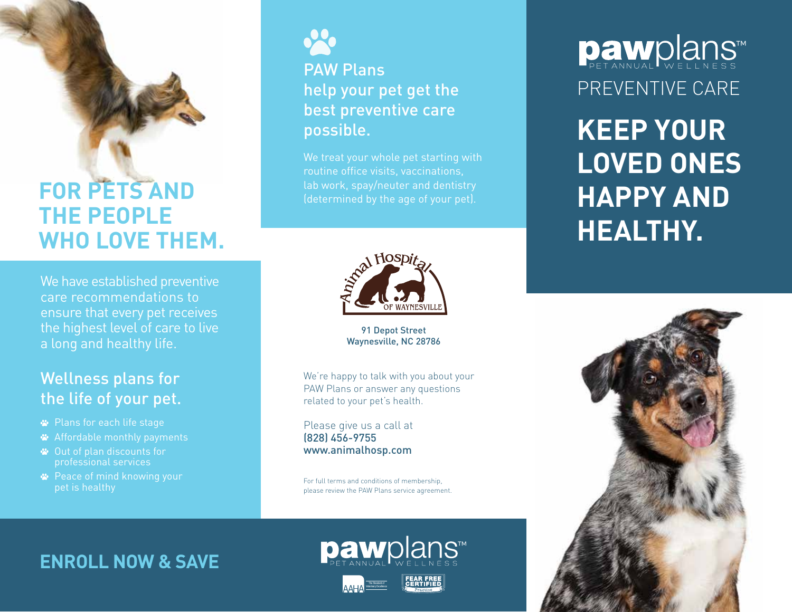## **FOR PETS AND THE PEOPLE WHO LOVE THEM.**

We have established preventive care recommendations to ensure that every pet receives the highest level of care to live a long and healthy life.

## Wellness plans for the life of your pet.

- Plans for each life stage
- Affordable monthly payments
- Out of plan discounts for professional services
- **<sup>■</sup>** Peace of mind knowing your pet is healthy



## PAW Plans help your pet get the best preventive care possible.

We treat your whole pet starting with routine office visits, vaccinations, lab work, spay/neuter and dentistry



91 Depot Street Waynesville, NC 28786

We're happy to talk with you about your PAW Plans or answer any questions related to your pet's health.

Please give us a call at (828) 456-9755 www.animalhosp.com

For full terms and conditions of membership, please review the PAW Plans service agreement.

## **ENROLL NOW & SAVE**





# Dawplans PREVENTIVE CARE

**KEEP YOUR LOVED ONES HAPPY AND HEALTHY.**